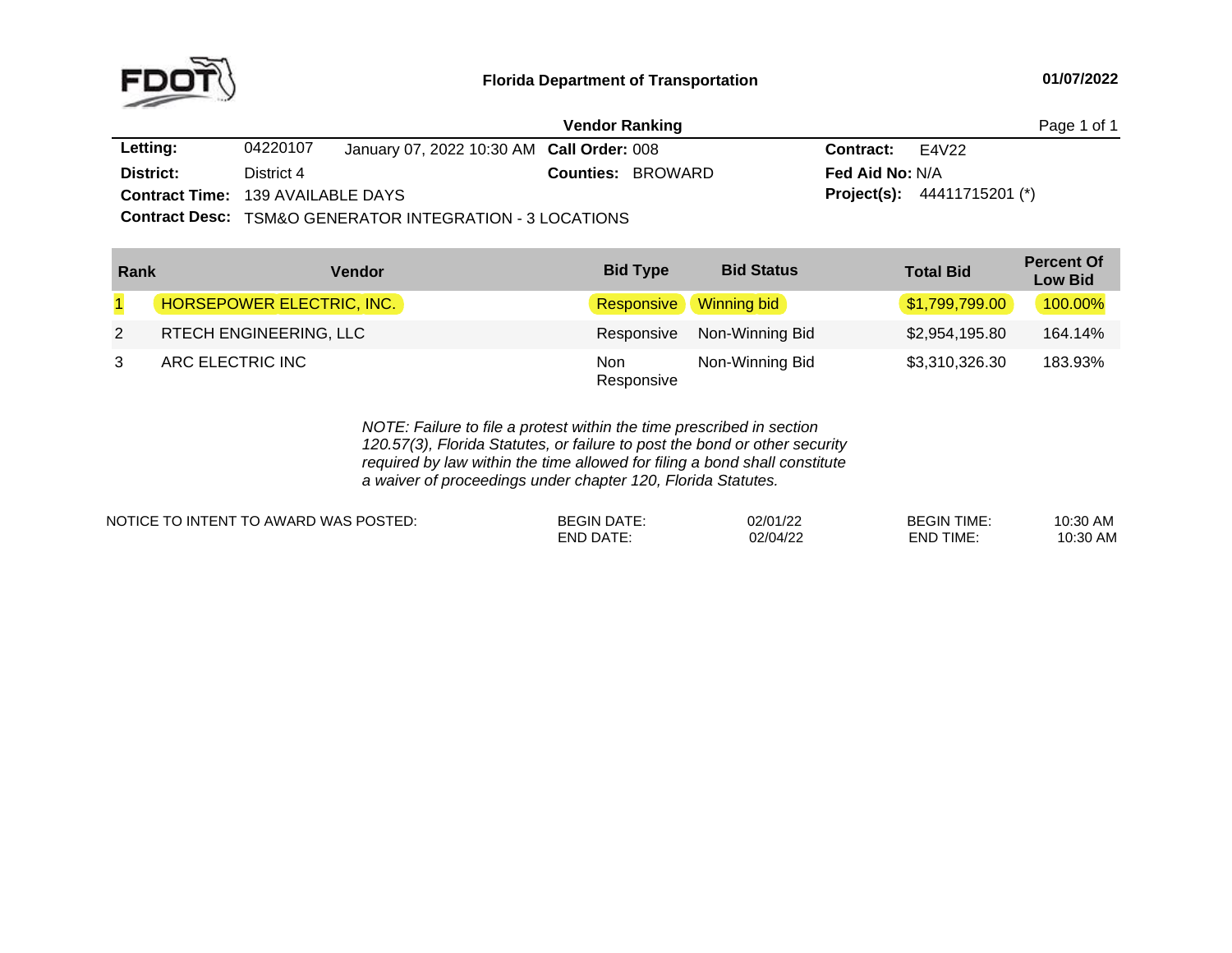

## **Florida Department of Transportation**

#### **01/07/2022**

|                                          |            |                                                                     | <b>Vendor Ranking</b> |                          |                          | Page 1 of 1                          |
|------------------------------------------|------------|---------------------------------------------------------------------|-----------------------|--------------------------|--------------------------|--------------------------------------|
| Letting:                                 | 04220107   | January 07, 2022 10:30 AM Call Order: 008                           |                       |                          | <b>Contract:</b> $E4V22$ |                                      |
| District:                                | District 4 |                                                                     |                       | <b>Counties: BROWARD</b> | <b>Fed Aid No: N/A</b>   |                                      |
| <b>Contract Time: 139 AVAILABLE DAYS</b> |            |                                                                     |                       |                          |                          | <b>Project(s):</b> $44411715201$ (*) |
|                                          |            | <b>Contract Desc: TSM&amp;O GENERATOR INTEGRATION - 3 LOCATIONS</b> |                       |                          |                          |                                      |
|                                          |            |                                                                     |                       |                          |                          |                                      |

| Rank           | Vendor                           | <b>Bid Type</b>   | <b>Bid Status</b> | <b>Total Bid</b> | <b>Percent Of</b><br><b>Low Bid</b> |
|----------------|----------------------------------|-------------------|-------------------|------------------|-------------------------------------|
| $\overline{1}$ | <b>HORSEPOWER ELECTRIC, INC.</b> | <b>Responsive</b> | Winning bid       | \$1,799,799.00   | 100.00%                             |
| $\overline{2}$ | RTECH ENGINEERING, LLC           | Responsive        | Non-Winning Bid   | \$2,954,195.80   | 164.14%                             |
| 3              | ARC ELECTRIC INC                 | Non<br>Responsive | Non-Winning Bid   | \$3,310,326.30   | 183.93%                             |

*NOTE: Failure to file <sup>a</sup> protest within the time prescribed in section 120.57(3), Florida Statutes, or failure to post the bond or other security required by law within the time allowed for filing <sup>a</sup> bond shall constitute a waiver of proceedings under chapter 120, Florida Statutes.*

| E TO INTENT TO AWARD WAS POSTED:<br>NOTICE TO | <b>BEGIN</b><br>וו מר | 02/01/22 | <b>BEGIN TIMF</b><br><b>IME</b> | <b>MA OP.01</b><br>v.ou<br>гчν    |
|-----------------------------------------------|-----------------------|----------|---------------------------------|-----------------------------------|
|                                               | ∩∆⊤<br>:ND            | 02/04/22 | <b>TIME</b><br>END              | <b>ARA</b><br>∩י∿<br>AIV.<br>v.vu |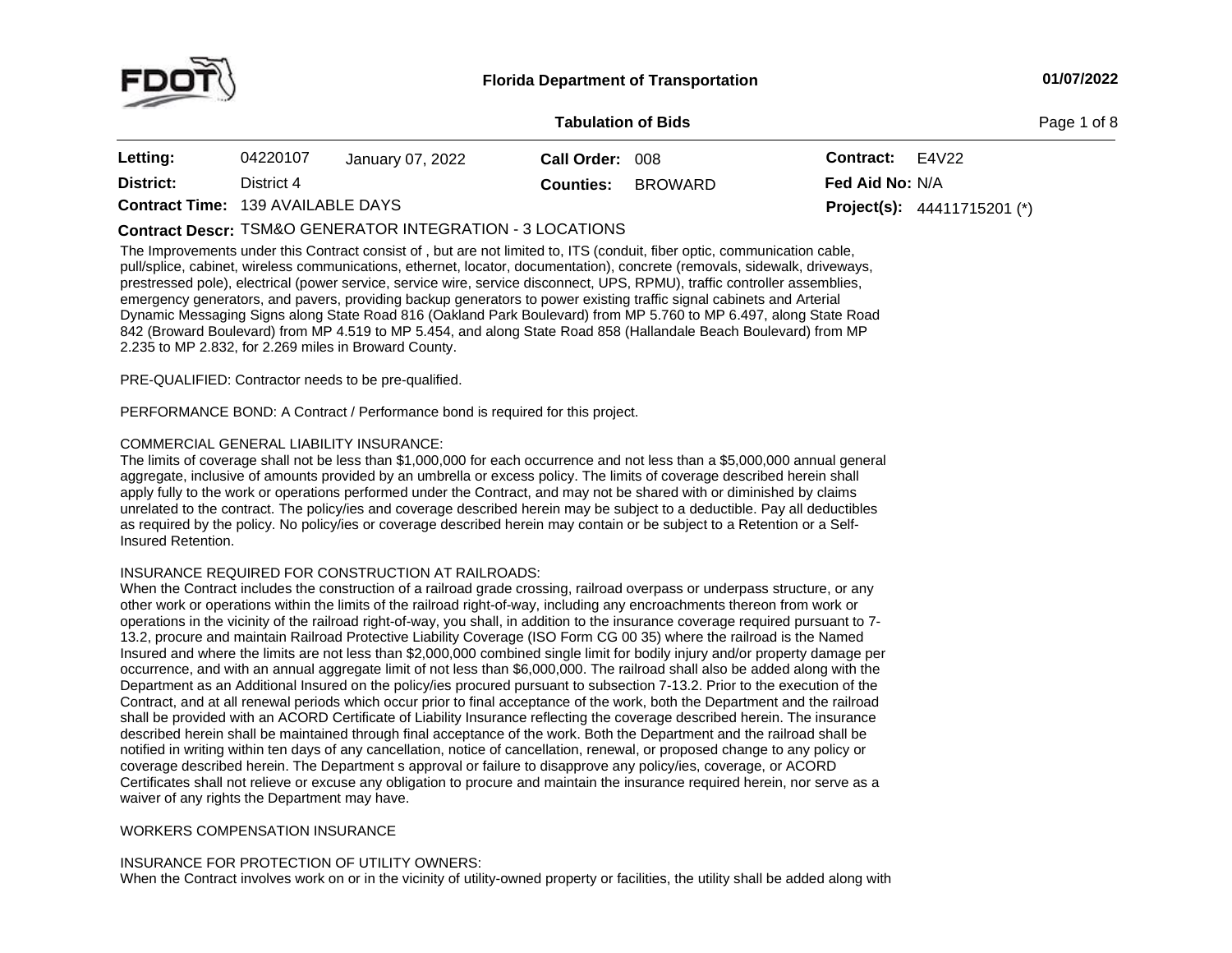

**of Bids** Page <sup>1</sup> of <sup>8</sup>

| Letting:                                 | 04220107   | January 07, 2022 | Call Order: 008  |         | <b>Contract:</b>       | E4V22                                |
|------------------------------------------|------------|------------------|------------------|---------|------------------------|--------------------------------------|
| District:                                | District 4 |                  | <b>Counties:</b> | BROWARD | <b>Fed Aid No: N/A</b> |                                      |
| <b>Contract Time: 139 AVAILABLE DAYS</b> |            |                  |                  |         |                        | <b>Project(s):</b> $44411715201$ (*) |

# TSM&O GENERATOR INTEGRATION - <sup>3</sup> LOCATIONS **Contract Descr:**

The Improvements under this Contract consist of , but are not limited to, ITS (conduit, fiber optic, communication cable,<br>multiplier sections wiseless communications of learnt leaster desurrentation), concerts (concernly s pull/splice, cabinet, wireless communications, ethernet, locator, documentation), concrete (removals, sidewalk, driveways, prestressed pole), electrical (power service, service wire, service disconnect, UPS, RPMU), traffic controller assemblies, emergency generators, and pavers, providing backup generators to power existing traffic signal cabinets and Arterial<br>— Dynamic Messaging Signs along State Road 816 (Oakland Park Boulevard) from MP 5.760 to MP 6.497, along State Road<br>842 (Broward Boulevard) from MP 4.519 to MP 5.454, and along State Boad 858 (Hallandale Boach Boulevard) fro 842 (Broward Boulevard) from MP 4.519 to MP 5.454, and along State Road 858 (Hallandale Beach Boulevard) from MP<br>2.235 to MP 2.832, for 2.269 miles in Broward County 2.235 to MP 2.832, for 2.269 miles in Broward County.

PRE-QUALIFIED: Contractor needs to be pre-qualified.

PERFORMANCE BOND: <sup>A</sup> Contract / Performance bond is required for this project.

### COMMERCIAL GENERAL LIABILITY INSURANCE:

The limits of coverage shall not be less than \$1,000,000 for each occurrence and not less than <sup>a</sup> \$5,000,000 annual general aggregate, inclusive of amounts provided by an umbrella or excess policy. The limits of coverage described herein shall apply fully to the work or operations performed under the Contract, and may not be shared with or diminished by claims unrelated to the contract. The policy/ies and coverage described herein may be subject to <sup>a</sup> deductible. Pay all deductibles as required by the policy. No policy/ies or coverage described herein may contain or be subject to a Retention or a Self-<br>Insured Retention. Insured Retention.

## INSURANCE REQUIRED FOR CONSTRUCTION AT RAILROADS:

When the Contract includes the construction of <sup>a</sup> railroad grade crossing, railroad overpass or underpass structure, or any other work or operations within the limits of the railroad right-of-way, including any encroachments thereon from work or<br>coorations in the vicinity of the railroad right of way, you shall, in addition to the insurance cov operations inoperations in the vicinity of the railroad right-of-way, you shall, in addition to the insurance coverage required pursuant to 7-<br>13.2, procure and maintain Railroad Protective Liability Coverage (ISO Form CG 00 35) where Insured and where the limits are not less than \$2,000,000 combined single limit for bodily injury and/or property damage per occurrence, and with an annual aggregate limit of not less than \$6,000,000. The railroad shall also be added along with the Department as an Additional Insured on the policy/ies procured pursuant to subsection 7-13.2. Prior to the execution of the Contract, and at all renewal periods which occur prior to final acceptance of the work, both the Department and the railroad shall be provided with an ACORD Certificate of Liability Insurance reflecting the coverage described herein. The insurance<br>described herein shall be maintained through final assentance of the work. Beth the Department and described herein shall be maintained through final acceptance of the work. Both the Department and the railroad shall be notified in writing within ten days of any cancellation, notice of cancellation, renewal, or proposed change to any policy or coverage described herein. The Department <sup>s</sup> approval or failure to disapprove any policy/ies, coverage, or ACORD Certificates shall not relieve or excuse any obligation to procure and maintain the insurance required herein, nor serve as <sup>a</sup> waiver of any rights the Department may have.

### WORKERS COMPENSATION INSURANCE

## INSURANCE FOR PROTECTION OF UTILITY OWNERS:

When the Contract involves work on or in the vicinity of utility-owned property or facilities, the utility shall be added along with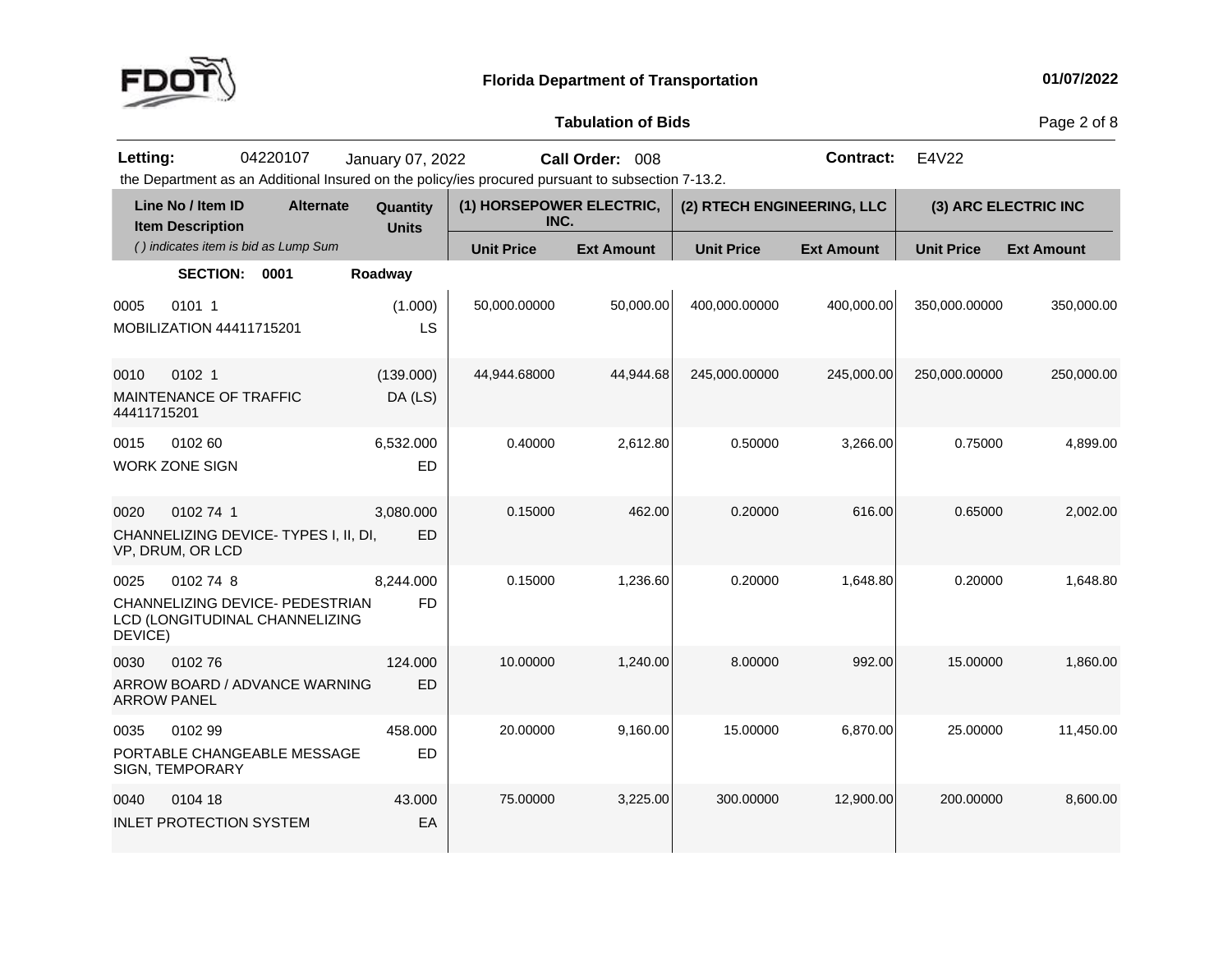

Page 2 of 8

the Department as an Additional Insured on the policy/ies procured pursuant to subsection 7-13.2. **Letting:** <sup>04220107</sup> January 07, <sup>2022</sup>**Call Order:** <sup>008</sup> **Contract:** E4V22

| Line No / Item ID<br><b>Item Description</b>                                                      | <b>Alternate</b> | Quantity<br><b>Units</b> | (1) HORSEPOWER ELECTRIC,<br>INC. |                   | (2) RTECH ENGINEERING, LLC |                   |                   | (3) ARC ELECTRIC INC |
|---------------------------------------------------------------------------------------------------|------------------|--------------------------|----------------------------------|-------------------|----------------------------|-------------------|-------------------|----------------------|
| () indicates item is bid as Lump Sum                                                              |                  |                          | <b>Unit Price</b>                | <b>Ext Amount</b> | <b>Unit Price</b>          | <b>Ext Amount</b> | <b>Unit Price</b> | <b>Ext Amount</b>    |
| <b>SECTION:</b><br>0001                                                                           |                  | Roadway                  |                                  |                   |                            |                   |                   |                      |
| 0101 1<br>0005<br>MOBILIZATION 44411715201                                                        |                  | (1.000)<br>LS            | 50,000.00000                     | 50,000.00         | 400,000.00000              | 400,000.00        | 350,000.00000     | 350,000.00           |
| 0102 1<br>0010<br><b>MAINTENANCE OF TRAFFIC</b><br>44411715201                                    |                  | (139.000)<br>DA (LS)     | 44,944.68000                     | 44,944.68         | 245,000.00000              | 245,000.00        | 250,000.00000     | 250,000.00           |
| 0102 60<br>0015<br><b>WORK ZONE SIGN</b>                                                          |                  | 6,532.000<br><b>ED</b>   | 0.40000                          | 2,612.80          | 0.50000                    | 3,266.00          | 0.75000           | 4,899.00             |
| 0102 74 1<br>0020<br>CHANNELIZING DEVICE-TYPES I, II, DI,<br>VP, DRUM, OR LCD                     |                  | 3,080.000<br>ED          | 0.15000                          | 462.00            | 0.20000                    | 616.00            | 0.65000           | 2,002.00             |
| 0025<br>0102 74 8<br>CHANNELIZING DEVICE- PEDESTRIAN<br>LCD (LONGITUDINAL CHANNELIZING<br>DEVICE) |                  | 8,244.000<br><b>FD</b>   | 0.15000                          | 1,236.60          | 0.20000                    | 1,648.80          | 0.20000           | 1,648.80             |
| 0030<br>010276<br>ARROW BOARD / ADVANCE WARNING<br><b>ARROW PANEL</b>                             |                  | 124.000<br><b>ED</b>     | 10.00000                         | 1,240.00          | 8.00000                    | 992.00            | 15.00000          | 1,860.00             |
| 010299<br>0035<br>PORTABLE CHANGEABLE MESSAGE<br>SIGN, TEMPORARY                                  |                  | 458.000<br><b>ED</b>     | 20.00000                         | 9,160.00          | 15.00000                   | 6,870.00          | 25.00000          | 11,450.00            |
| 0104 18<br>0040<br><b>INLET PROTECTION SYSTEM</b>                                                 |                  | 43.000<br>EA             | 75.00000                         | 3,225.00          | 300.00000                  | 12,900.00         | 200.00000         | 8,600.00             |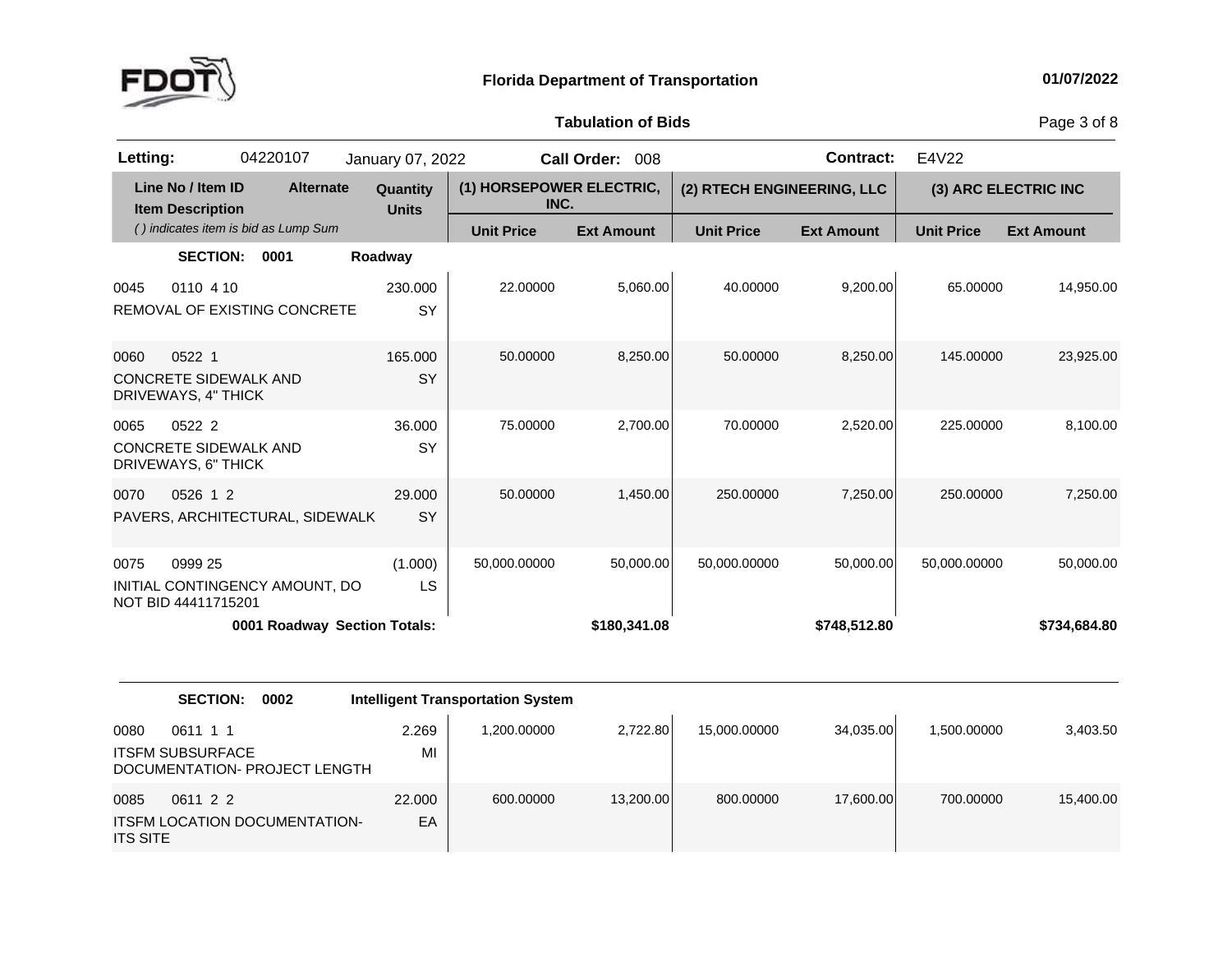

Page 3 of 8

| Letting:                                                              | 04220107                             | January 07, 2022         |                                  | Call Order: 008   |                   | <b>Contract:</b>           | E4V22             |                      |
|-----------------------------------------------------------------------|--------------------------------------|--------------------------|----------------------------------|-------------------|-------------------|----------------------------|-------------------|----------------------|
| Line No / Item ID<br><b>Item Description</b>                          | <b>Alternate</b>                     | Quantity<br><b>Units</b> | (1) HORSEPOWER ELECTRIC,<br>INC. |                   |                   | (2) RTECH ENGINEERING, LLC |                   | (3) ARC ELECTRIC INC |
|                                                                       | () indicates item is bid as Lump Sum |                          | <b>Unit Price</b>                | <b>Ext Amount</b> | <b>Unit Price</b> | <b>Ext Amount</b>          | <b>Unit Price</b> | <b>Ext Amount</b>    |
| <b>SECTION:</b>                                                       | 0001                                 | Roadway                  |                                  |                   |                   |                            |                   |                      |
| 0110 4 10<br>0045                                                     | <b>REMOVAL OF EXISTING CONCRETE</b>  | 230.000<br>SY            | 22,00000                         | 5,060.00          | 40.00000          | 9,200.00                   | 65.00000          | 14,950.00            |
| 0522 1<br>0060<br><b>CONCRETE SIDEWALK AND</b><br>DRIVEWAYS, 4" THICK |                                      | 165,000<br><b>SY</b>     | 50.00000                         | 8,250.00          | 50.00000          | 8,250.00                   | 145.00000         | 23,925.00            |
| 0522 2<br>0065<br><b>CONCRETE SIDEWALK AND</b><br>DRIVEWAYS, 6" THICK |                                      | 36.000<br><b>SY</b>      | 75,00000                         | 2.700.00          | 70.00000          | 2,520.00                   | 225.00000         | 8,100.00             |
| 0526 1 2<br>0070                                                      | PAVERS, ARCHITECTURAL, SIDEWALK      | 29,000<br><b>SY</b>      | 50.00000                         | 1,450.00          | 250.00000         | 7,250.00                   | 250.00000         | 7,250.00             |
| 0075<br>0999 25<br>NOT BID 44411715201                                | INITIAL CONTINGENCY AMOUNT, DO       | (1.000)<br>LS            | 50,000.00000                     | 50,000.00         | 50,000.00000      | 50,000.00                  | 50,000.00000      | 50,000.00            |
|                                                                       | 0001 Roadway Section Totals:         |                          |                                  | \$180,341.08      |                   | \$748,512.80               |                   | \$734,684.80         |

|                         | <b>SECTION:</b><br>0002                                              |              | <b>Intelligent Transportation System</b> |           |              |           |             |           |
|-------------------------|----------------------------------------------------------------------|--------------|------------------------------------------|-----------|--------------|-----------|-------------|-----------|
| 0080                    | 0611 1 1<br><b>ITSFM SUBSURFACE</b><br>DOCUMENTATION- PROJECT LENGTH | 2.269<br>МI  | 1,200.00000                              | 2,722.80  | 15,000.00000 | 34,035.00 | 1.500.00000 | 3,403.50  |
| 0085<br><b>ITS SITE</b> | 0611 2 2<br><b>ITSFM LOCATION DOCUMENTATION-</b>                     | 22,000<br>EA | 600,00000                                | 13,200.00 | 800.00000    | 17,600.00 | 700.00000   | 15,400.00 |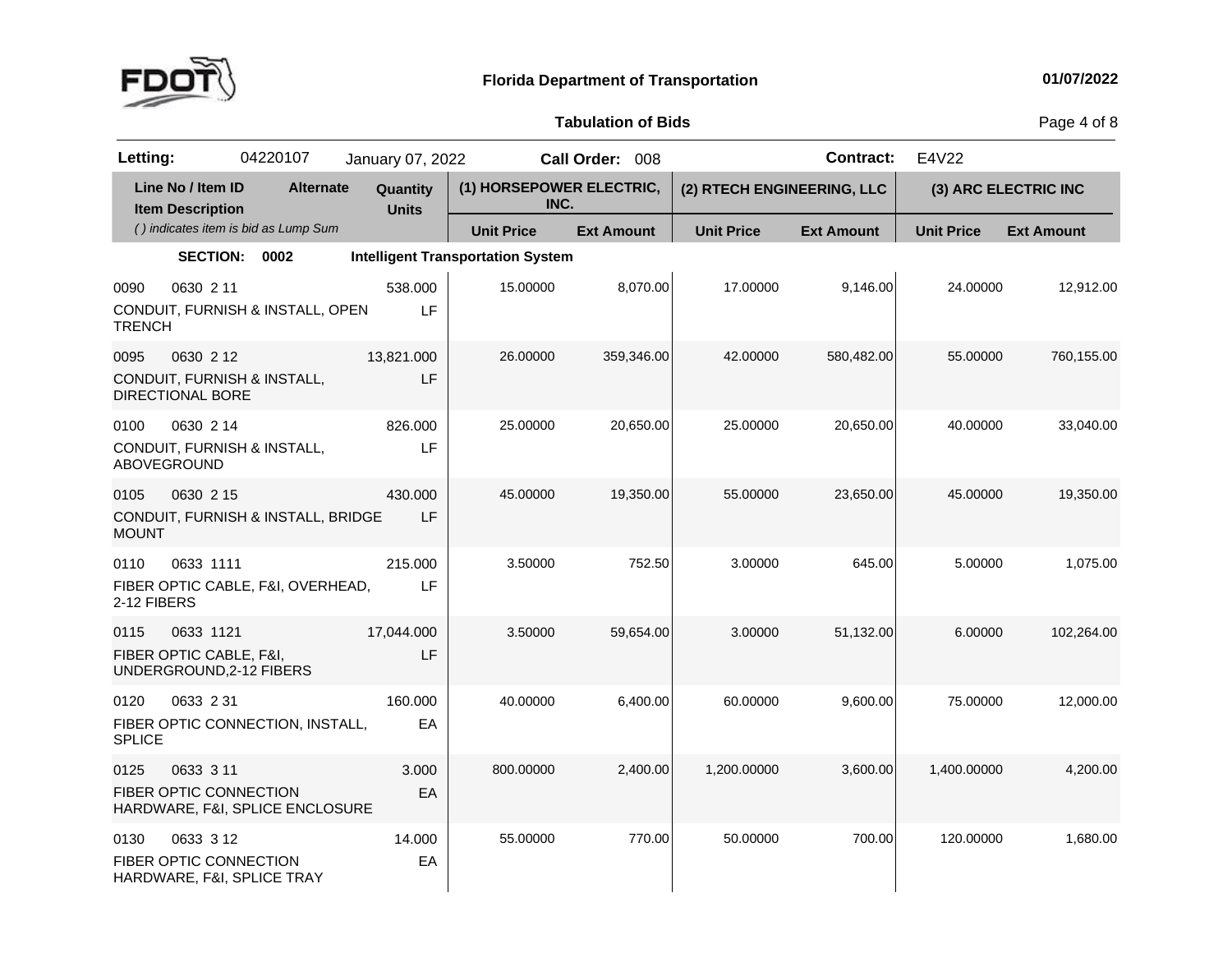

Page 4 of 8

| Letting:              |                                                                  | 04220107                             | January 07, 2022         |                                          | Call Order: 008   |                            | <b>Contract:</b>  | E4V22             |                      |
|-----------------------|------------------------------------------------------------------|--------------------------------------|--------------------------|------------------------------------------|-------------------|----------------------------|-------------------|-------------------|----------------------|
|                       | Line No / Item ID<br><b>Item Description</b>                     | <b>Alternate</b>                     | Quantity<br><b>Units</b> | (1) HORSEPOWER ELECTRIC,<br>INC.         |                   | (2) RTECH ENGINEERING, LLC |                   |                   | (3) ARC ELECTRIC INC |
|                       |                                                                  | () indicates item is bid as Lump Sum |                          | <b>Unit Price</b>                        | <b>Ext Amount</b> | <b>Unit Price</b>          | <b>Ext Amount</b> | <b>Unit Price</b> | <b>Ext Amount</b>    |
|                       | <b>SECTION:</b>                                                  | 0002                                 |                          | <b>Intelligent Transportation System</b> |                   |                            |                   |                   |                      |
| 0090<br><b>TRENCH</b> | 0630 2 11                                                        | CONDUIT, FURNISH & INSTALL, OPEN     | 538.000<br>LF            | 15.00000                                 | 8,070.00          | 17.00000                   | 9,146.00          | 24.00000          | 12,912.00            |
| 0095                  | 0630 2 12<br>DIRECTIONAL BORE                                    | CONDUIT, FURNISH & INSTALL,          | 13,821.000<br>LF         | 26.00000                                 | 359,346.00        | 42.00000                   | 580,482.00        | 55.00000          | 760,155.00           |
| 0100                  | 0630 2 14<br>ABOVEGROUND                                         | CONDUIT, FURNISH & INSTALL,          | 826,000<br>LF            | 25.00000                                 | 20,650.00         | 25.00000                   | 20,650.00         | 40.00000          | 33,040.00            |
| 0105<br><b>MOUNT</b>  | 0630 2 15                                                        | CONDUIT, FURNISH & INSTALL, BRIDGE   | 430,000<br>LF            | 45.00000                                 | 19,350.00         | 55.00000                   | 23,650.00         | 45.00000          | 19,350.00            |
| 0110<br>2-12 FIBERS   | 0633 1111                                                        | FIBER OPTIC CABLE, F&I, OVERHEAD,    | 215.000<br>LF            | 3.50000                                  | 752.50            | 3.00000                    | 645.00            | 5.00000           | 1,075.00             |
| 0115                  | 0633 1121<br>FIBER OPTIC CABLE, F&I,<br>UNDERGROUND, 2-12 FIBERS |                                      | 17,044.000<br>LF         | 3.50000                                  | 59,654.00         | 3.00000                    | 51,132.00         | 6.00000           | 102,264.00           |
| 0120<br><b>SPLICE</b> | 0633 2 31                                                        | FIBER OPTIC CONNECTION, INSTALL,     | 160,000<br>EA            | 40.00000                                 | 6,400.00          | 60.00000                   | 9,600.00          | 75.00000          | 12,000.00            |
| 0125                  | 0633 3 11<br>FIBER OPTIC CONNECTION                              | HARDWARE, F&I, SPLICE ENCLOSURE      | 3.000<br>EA              | 800.00000                                | 2,400.00          | 1,200.00000                | 3,600.00          | 1,400.00000       | 4,200.00             |
| 0130                  | 0633 3 12<br>FIBER OPTIC CONNECTION                              | HARDWARE, F&I, SPLICE TRAY           | 14.000<br>EA             | 55.00000                                 | 770.00            | 50.00000                   | 700.00            | 120.00000         | 1,680.00             |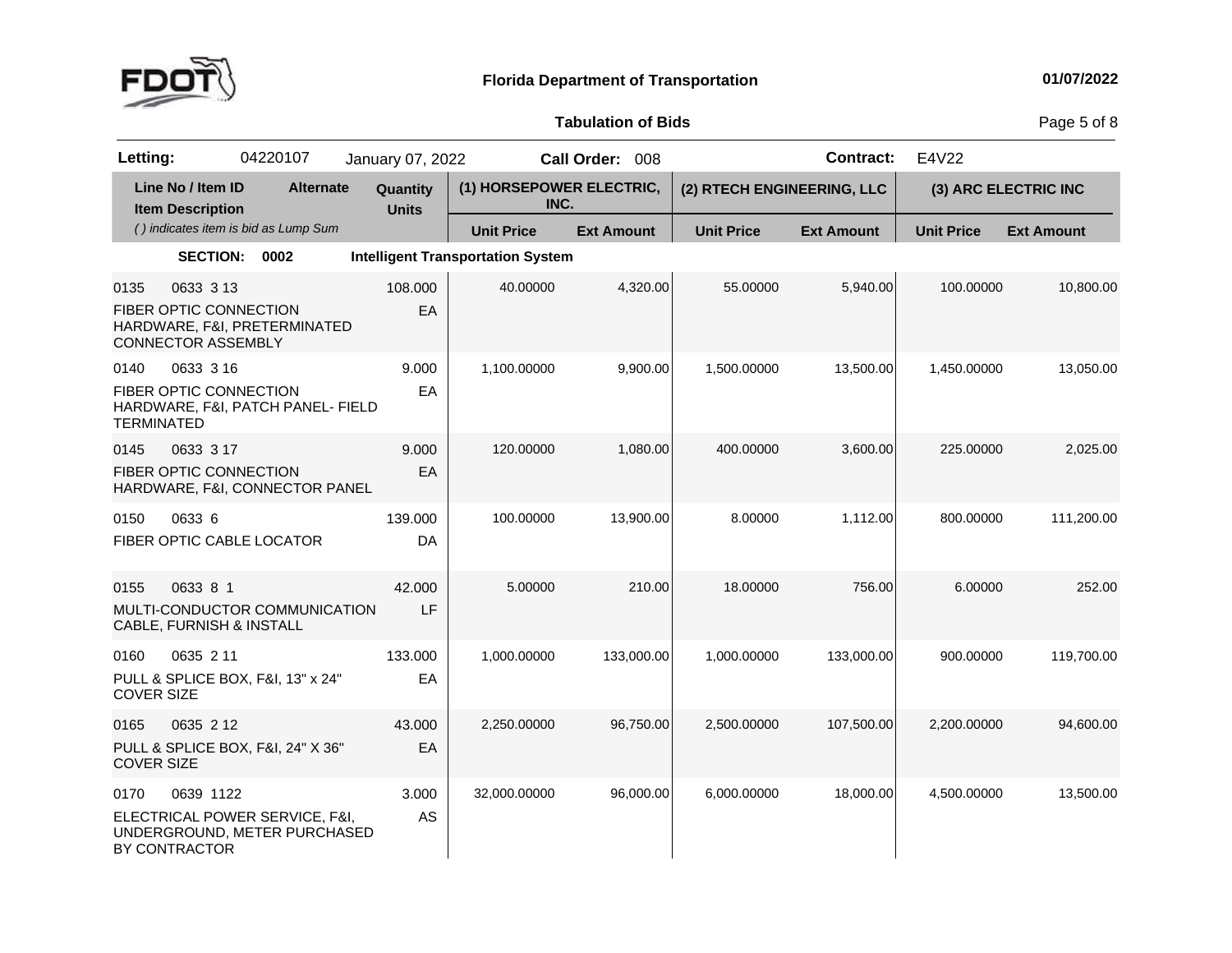

Page 5 of 8

| Letting:                  |                                                                  | 04220107                                                       | January 07, 2022         |                                          | Call Order: 008   |                            | <b>Contract:</b>  | E4V22             |                      |
|---------------------------|------------------------------------------------------------------|----------------------------------------------------------------|--------------------------|------------------------------------------|-------------------|----------------------------|-------------------|-------------------|----------------------|
|                           | Line No / Item ID<br><b>Item Description</b>                     | <b>Alternate</b>                                               | Quantity<br><b>Units</b> | (1) HORSEPOWER ELECTRIC,<br>INC.         |                   | (2) RTECH ENGINEERING, LLC |                   |                   | (3) ARC ELECTRIC INC |
|                           |                                                                  | () indicates item is bid as Lump Sum                           |                          | <b>Unit Price</b>                        | <b>Ext Amount</b> | <b>Unit Price</b>          | <b>Ext Amount</b> | <b>Unit Price</b> | <b>Ext Amount</b>    |
|                           | <b>SECTION:</b>                                                  | 0002                                                           |                          | <b>Intelligent Transportation System</b> |                   |                            |                   |                   |                      |
| 0135                      | 0633 3 13<br>FIBER OPTIC CONNECTION<br><b>CONNECTOR ASSEMBLY</b> | HARDWARE, F&I, PRETERMINATED                                   | 108.000<br>EA            | 40.00000                                 | 4,320.00          | 55.00000                   | 5,940.00          | 100.00000         | 10,800.00            |
| 0140<br><b>TERMINATED</b> | 0633 3 16<br><b>FIBER OPTIC CONNECTION</b>                       | HARDWARE, F&I, PATCH PANEL- FIELD                              | 9.000<br>EA              | 1,100.00000                              | 9,900.00          | 1,500.00000                | 13,500.00         | 1,450.00000       | 13,050.00            |
| 0145                      | 0633 3 17<br>FIBER OPTIC CONNECTION                              | HARDWARE, F&I, CONNECTOR PANEL                                 | 9.000<br>EA              | 120.00000                                | 1,080.00          | 400.00000                  | 3,600.00          | 225.00000         | 2,025.00             |
| 0150                      | 0633 6<br>FIBER OPTIC CABLE LOCATOR                              |                                                                | 139.000<br>DA            | 100.00000                                | 13,900.00         | 8.00000                    | 1,112.00          | 800.00000         | 111,200.00           |
| 0155                      | 0633 8 1<br>CABLE, FURNISH & INSTALL                             | MULTI-CONDUCTOR COMMUNICATION                                  | 42.000<br>LF             | 5.00000                                  | 210.00            | 18.00000                   | 756.00            | 6.00000           | 252.00               |
| 0160<br><b>COVER SIZE</b> | 0635 2 11                                                        | PULL & SPLICE BOX, F&I, 13" x 24"                              | 133.000<br>EA            | 1,000.00000                              | 133,000.00        | 1,000.00000                | 133,000.00        | 900.00000         | 119,700.00           |
| 0165<br><b>COVER SIZE</b> | 0635 2 12                                                        | PULL & SPLICE BOX, F&I, 24" X 36"                              | 43.000<br>EA             | 2,250.00000                              | 96,750.00         | 2,500.00000                | 107,500.00        | 2,200.00000       | 94,600.00            |
| 0170                      | 0639 1122<br>BY CONTRACTOR                                       | ELECTRICAL POWER SERVICE, F&I,<br>UNDERGROUND, METER PURCHASED | 3.000<br>AS              | 32,000.00000                             | 96,000.00         | 6,000.00000                | 18,000.00         | 4,500.00000       | 13,500.00            |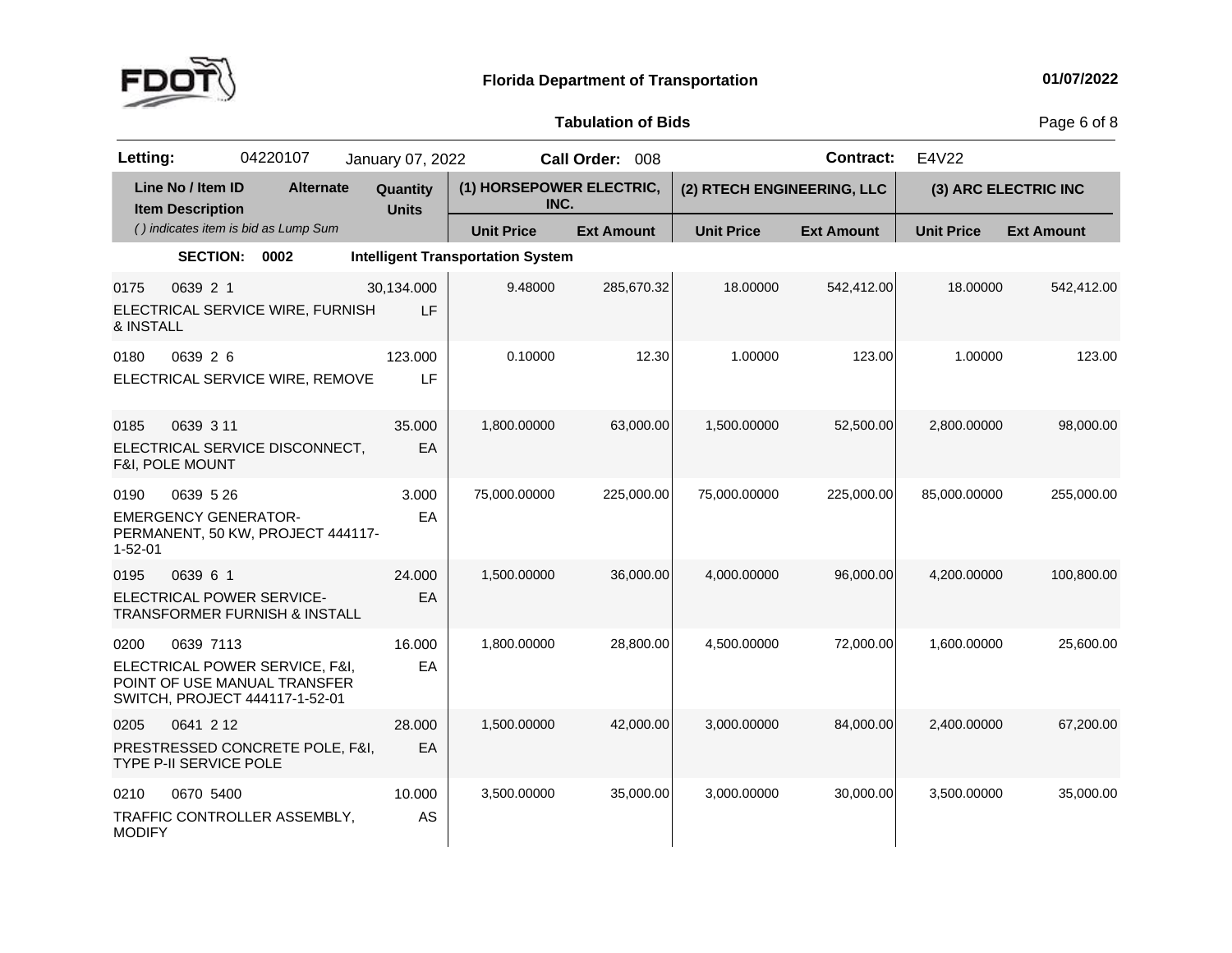

Page 6 of 8

| Letting:              |                                              | 04220107                                                                                         | January 07, 2022         |                                          | Call Order: 008   |                            | <b>Contract:</b>  | E4V22             |                      |
|-----------------------|----------------------------------------------|--------------------------------------------------------------------------------------------------|--------------------------|------------------------------------------|-------------------|----------------------------|-------------------|-------------------|----------------------|
|                       | Line No / Item ID<br><b>Item Description</b> | <b>Alternate</b>                                                                                 | Quantity<br><b>Units</b> | (1) HORSEPOWER ELECTRIC,<br>INC.         |                   | (2) RTECH ENGINEERING, LLC |                   |                   | (3) ARC ELECTRIC INC |
|                       |                                              | () indicates item is bid as Lump Sum                                                             |                          | <b>Unit Price</b>                        | <b>Ext Amount</b> | <b>Unit Price</b>          | <b>Ext Amount</b> | <b>Unit Price</b> | <b>Ext Amount</b>    |
|                       | <b>SECTION:</b>                              | 0002                                                                                             |                          | <b>Intelligent Transportation System</b> |                   |                            |                   |                   |                      |
| 0175<br>& INSTALL     | 0639 2 1                                     | ELECTRICAL SERVICE WIRE, FURNISH                                                                 | 30,134.000<br>LF         | 9.48000                                  | 285,670.32        | 18.00000                   | 542,412.00        | 18.00000          | 542,412.00           |
| 0180                  | 0639 2 6                                     | ELECTRICAL SERVICE WIRE, REMOVE                                                                  | 123.000<br>LF            | 0.10000                                  | 12.30             | 1.00000                    | 123.00            | 1.00000           | 123.00               |
| 0185                  | 0639 3 11<br>F&I, POLE MOUNT                 | ELECTRICAL SERVICE DISCONNECT,                                                                   | 35.000<br>EA             | 1,800.00000                              | 63,000.00         | 1,500.00000                | 52,500.00         | 2.800.00000       | 98,000.00            |
| 0190<br>$1 - 52 - 01$ | 0639 5 26<br><b>EMERGENCY GENERATOR-</b>     | PERMANENT, 50 KW, PROJECT 444117-                                                                | 3.000<br>EA              | 75,000.00000                             | 225,000.00        | 75,000.00000               | 225,000.00        | 85,000.00000      | 255,000.00           |
| 0195                  | 0639 6 1                                     | ELECTRICAL POWER SERVICE-<br>TRANSFORMER FURNISH & INSTALL                                       | 24.000<br>EA             | 1.500.00000                              | 36,000.00         | 4,000.00000                | 96,000.00         | 4.200.00000       | 100,800.00           |
| 0200                  | 0639 7113                                    | ELECTRICAL POWER SERVICE, F&I,<br>POINT OF USE MANUAL TRANSFER<br>SWITCH, PROJECT 444117-1-52-01 | 16.000<br>EA             | 1,800.00000                              | 28,800.00         | 4,500.00000                | 72,000.00         | 1,600.00000       | 25,600.00            |
| 0205                  | 0641 2 12<br>TYPE P-II SERVICE POLE          | PRESTRESSED CONCRETE POLE, F&I,                                                                  | 28.000<br>EA             | 1,500.00000                              | 42,000.00         | 3,000.00000                | 84,000.00         | 2,400.00000       | 67,200.00            |
| 0210<br><b>MODIFY</b> | 0670 5400                                    | TRAFFIC CONTROLLER ASSEMBLY,                                                                     | 10.000<br><b>AS</b>      | 3,500.00000                              | 35,000.00         | 3,000.00000                | 30,000.00         | 3,500.00000       | 35,000.00            |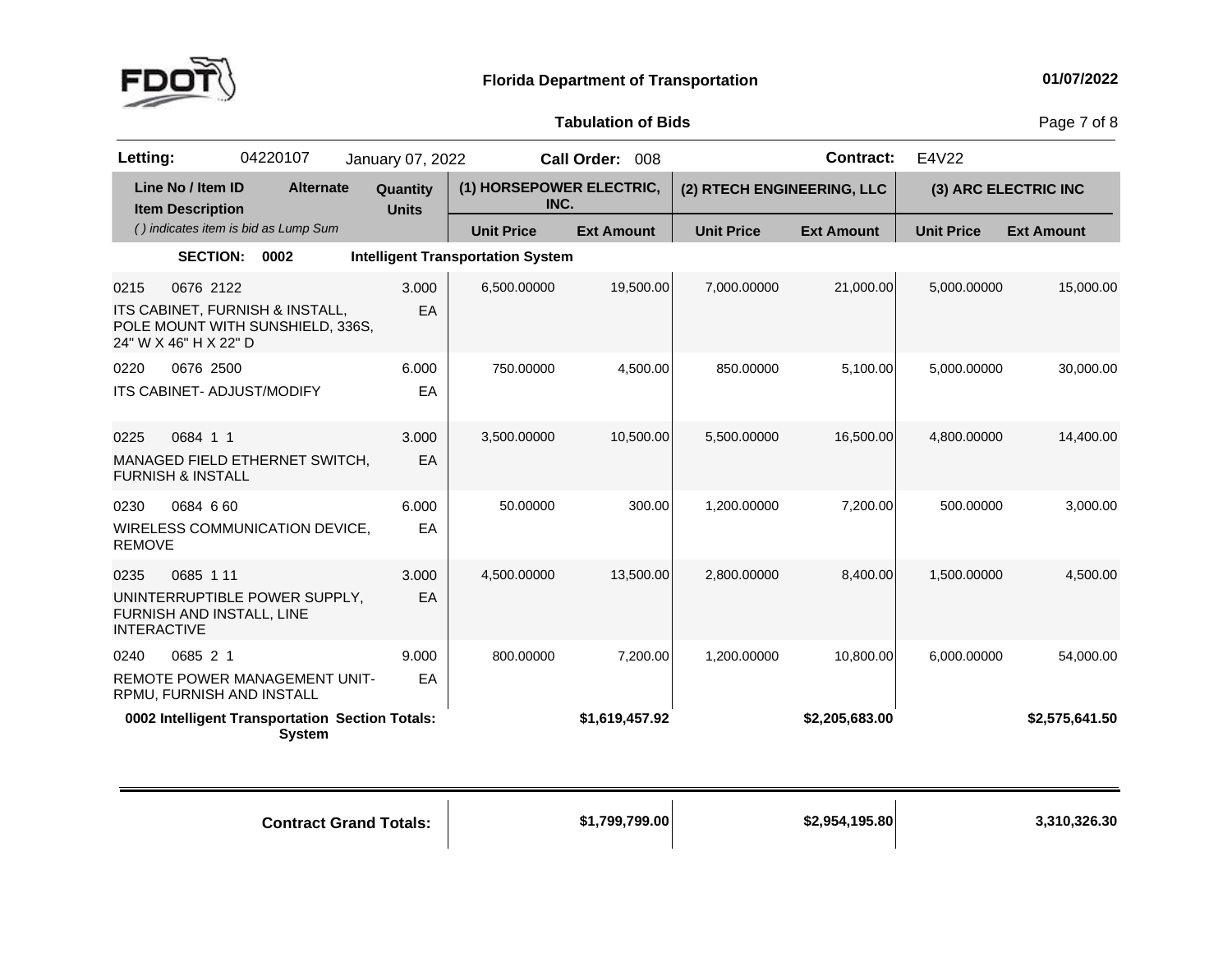

Page 7 of 8

| Letting:                   |                                                | 04220107                                                            | January 07, 2022         |                                          | Call Order: 008   |                            | <b>Contract:</b>  | E4V22             |                      |
|----------------------------|------------------------------------------------|---------------------------------------------------------------------|--------------------------|------------------------------------------|-------------------|----------------------------|-------------------|-------------------|----------------------|
|                            | Line No / Item ID<br><b>Item Description</b>   | <b>Alternate</b>                                                    | Quantity<br><b>Units</b> | (1) HORSEPOWER ELECTRIC,<br>INC.         |                   | (2) RTECH ENGINEERING, LLC |                   |                   | (3) ARC ELECTRIC INC |
|                            |                                                | () indicates item is bid as Lump Sum                                |                          | <b>Unit Price</b>                        | <b>Ext Amount</b> | <b>Unit Price</b>          | <b>Ext Amount</b> | <b>Unit Price</b> | <b>Ext Amount</b>    |
|                            | <b>SECTION:</b>                                | 0002                                                                |                          | <b>Intelligent Transportation System</b> |                   |                            |                   |                   |                      |
| 0215                       | 0676 2122<br>24" W X 46" H X 22" D             | ITS CABINET, FURNISH & INSTALL,<br>POLE MOUNT WITH SUNSHIELD, 336S, | 3.000<br>EA              | 6,500.00000                              | 19,500.00         | 7,000.00000                | 21,000.00         | 5,000.00000       | 15,000.00            |
| 0220                       | 0676 2500<br><b>ITS CABINET- ADJUST/MODIFY</b> |                                                                     | 6.000<br>EA              | 750.00000                                | 4,500.00          | 850.00000                  | 5,100.00          | 5,000.00000       | 30,000.00            |
| 0225                       | 0684 1 1<br><b>FURNISH &amp; INSTALL</b>       | MANAGED FIELD ETHERNET SWITCH,                                      | 3.000<br>EA              | 3,500.00000                              | 10,500.00         | 5,500.00000                | 16,500.00         | 4,800.00000       | 14,400.00            |
| 0230<br><b>REMOVE</b>      | 0684 6 60                                      | WIRELESS COMMUNICATION DEVICE,                                      | 6.000<br>EA              | 50.00000                                 | 300.00            | 1,200.00000                | 7,200.00          | 500.00000         | 3,000.00             |
| 0235<br><b>INTERACTIVE</b> | 0685 1 11<br>FURNISH AND INSTALL, LINE         | UNINTERRUPTIBLE POWER SUPPLY,                                       | 3.000<br>EA              | 4,500.00000                              | 13,500.00         | 2,800.00000                | 8,400.00          | 1,500.00000       | 4,500.00             |
| 0240                       | 0685 2 1                                       |                                                                     | 9.000                    | 800.00000                                | 7,200.00          | 1,200.00000                | 10,800.00         | 6,000.00000       | 54,000.00            |
|                            | RPMU, FURNISH AND INSTALL                      | REMOTE POWER MANAGEMENT UNIT-                                       | EA                       |                                          |                   |                            |                   |                   |                      |
|                            |                                                | 0002 Intelligent Transportation Section Totals:<br><b>System</b>    |                          |                                          | \$1,619,457.92    |                            | \$2,205,683.00    |                   | \$2,575,641.50       |

**Contract Grand**

**Totals: \$1,799,799.00 \$2,954,195.80 3,310,326.30**